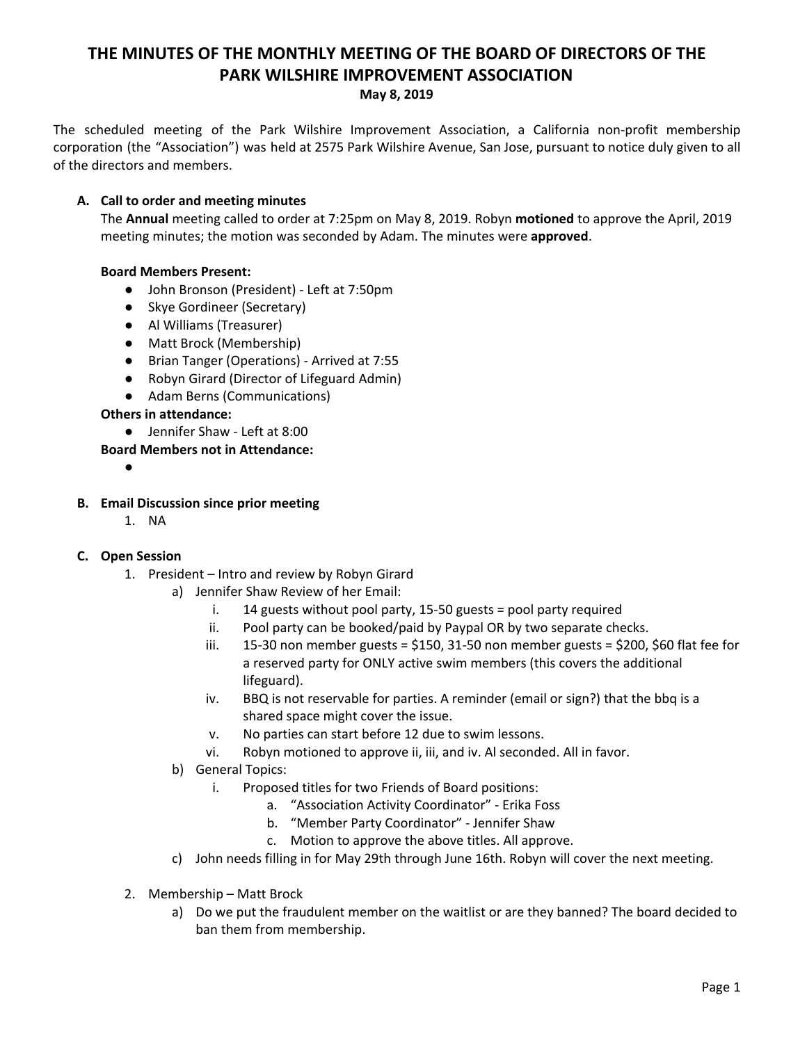# **THE MINUTES OF THE MONTHLY MEETING OF THE BOARD OF DIRECTORS OF THE PARK WILSHIRE IMPROVEMENT ASSOCIATION**

**May 8, 2019**

The scheduled meeting of the Park Wilshire Improvement Association, a California non-profit membership corporation (the "Association") was held at 2575 Park Wilshire Avenue, San Jose, pursuant to notice duly given to all of the directors and members.

## **A. Call to order and meeting minutes**

The **Annual** meeting called to order at 7:25pm on May 8, 2019. Robyn **motioned** to approve the April, 2019 meeting minutes; the motion was seconded by Adam. The minutes were **approved**.

### **Board Members Present:**

- John Bronson (President) Left at 7:50pm
- Skye Gordineer (Secretary)
- **●** Al Williams (Treasurer)
- Matt Brock (Membership)
- Brian Tanger (Operations) Arrived at 7:55
- Robyn Girard (Director of Lifeguard Admin)
- Adam Berns (Communications)

#### **Others in attendance:**

- Jennifer Shaw Left at 8:00
- **Board Members not in Attendance:**
	- **●**

#### **B. Email Discussion since prior meeting**

1. NA

#### **C. Open Session**

- 1. President Intro and review by Robyn Girard
	- a) Jennifer Shaw Review of her Email:
		- i. 14 guests without pool party, 15-50 guests = pool party required
		- ii. Pool party can be booked/paid by Paypal OR by two separate checks.
		- iii.  $15-30$  non member guests = \$150, 31-50 non member guests = \$200, \$60 flat fee for a reserved party for ONLY active swim members (this covers the additional lifeguard).
		- iv. BBQ is not reservable for parties. A reminder (email or sign?) that the bbq is a shared space might cover the issue.
		- v. No parties can start before 12 due to swim lessons.
		- vi. Robyn motioned to approve ii, iii, and iv. Al seconded. All in favor.
	- b) General Topics:
		- i. Proposed titles for two Friends of Board positions:
			- a. "Association Activity Coordinator" Erika Foss
			- b. "Member Party Coordinator" Jennifer Shaw
			- c. Motion to approve the above titles. All approve.
	- c) John needs filling in for May 29th through June 16th. Robyn will cover the next meeting.
- 2. Membership Matt Brock
	- a) Do we put the fraudulent member on the waitlist or are they banned? The board decided to ban them from membership.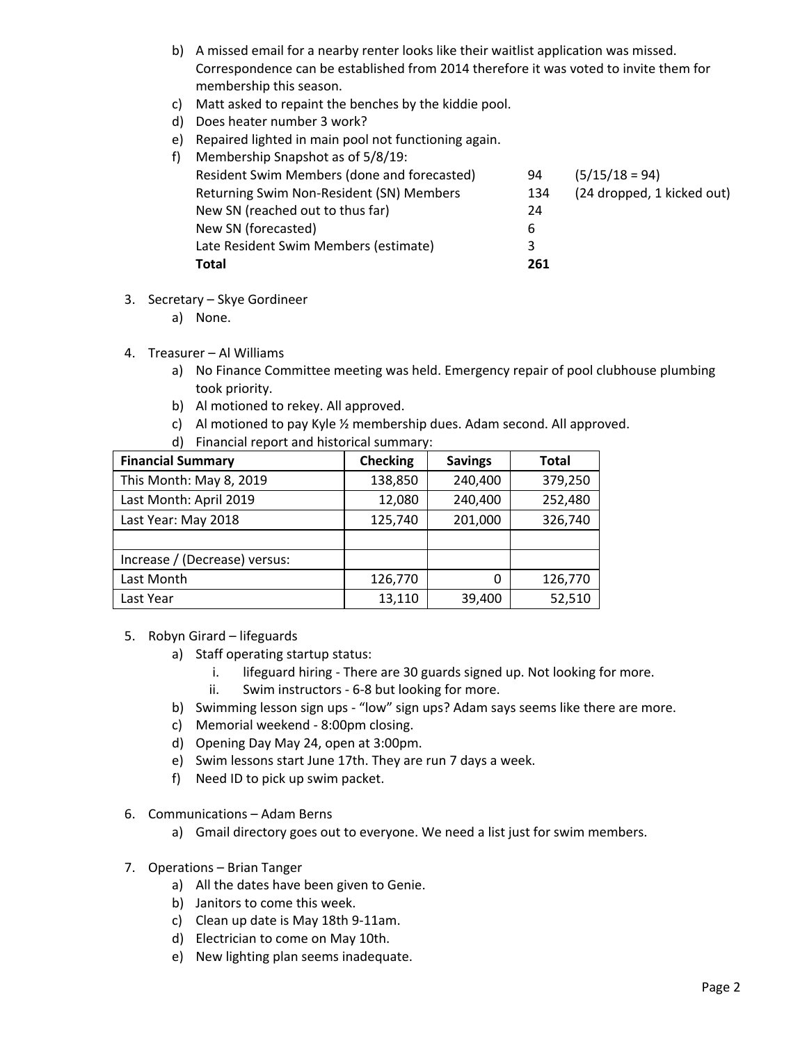- b) A missed email for a nearby renter looks like their waitlist application was missed. Correspondence can be established from 2014 therefore it was voted to invite them for membership this season.
- c) Matt asked to repaint the benches by the kiddie pool.
- d) Does heater number 3 work?
- e) Repaired lighted in main pool not functioning again.

| Membership Snapshot as of 5/8/19:           |     |                            |
|---------------------------------------------|-----|----------------------------|
| Resident Swim Members (done and forecasted) | 94  | $(5/15/18=94)$             |
| Returning Swim Non-Resident (SN) Members    | 134 | (24 dropped, 1 kicked out) |
| New SN (reached out to thus far)            | 24  |                            |
| New SN (forecasted)                         | 6   |                            |
| Late Resident Swim Members (estimate)       | 3   |                            |
| Total                                       | 261 |                            |

- 3. Secretary Skye Gordineer
	- a) None.
- 4. Treasurer Al Williams
	- a) No Finance Committee meeting was held. Emergency repair of pool clubhouse plumbing took priority.
	- b) Al motioned to rekey. All approved.
	- c) Al motioned to pay Kyle ½ membership dues. Adam second. All approved.
	- d) Financial report and historical summary:

| <b>Financial Summary</b>      | <b>Checking</b> | <b>Savings</b> | <b>Total</b> |
|-------------------------------|-----------------|----------------|--------------|
| This Month: May 8, 2019       | 138,850         | 240,400        | 379,250      |
| Last Month: April 2019        | 12,080          | 240,400        | 252,480      |
| Last Year: May 2018           | 125,740         | 201,000        | 326,740      |
|                               |                 |                |              |
| Increase / (Decrease) versus: |                 |                |              |
| Last Month                    | 126,770         | 0              | 126,770      |
| Last Year                     | 13,110          | 39,400         | 52,510       |

- 5. Robyn Girard lifeguards
	- a) Staff operating startup status:
		- i. lifeguard hiring There are 30 guards signed up. Not looking for more.
		- ii. Swim instructors 6-8 but looking for more.
	- b) Swimming lesson sign ups "low" sign ups? Adam says seems like there are more.
	- c) Memorial weekend 8:00pm closing.
	- d) Opening Day May 24, open at 3:00pm.
	- e) Swim lessons start June 17th. They are run 7 days a week.
	- f) Need ID to pick up swim packet.
- 6. Communications Adam Berns
	- a) Gmail directory goes out to everyone. We need a list just for swim members.
- 7. Operations Brian Tanger
	- a) All the dates have been given to Genie.
	- b) Janitors to come this week.
	- c) Clean up date is May 18th 9-11am.
	- d) Electrician to come on May 10th.
	- e) New lighting plan seems inadequate.